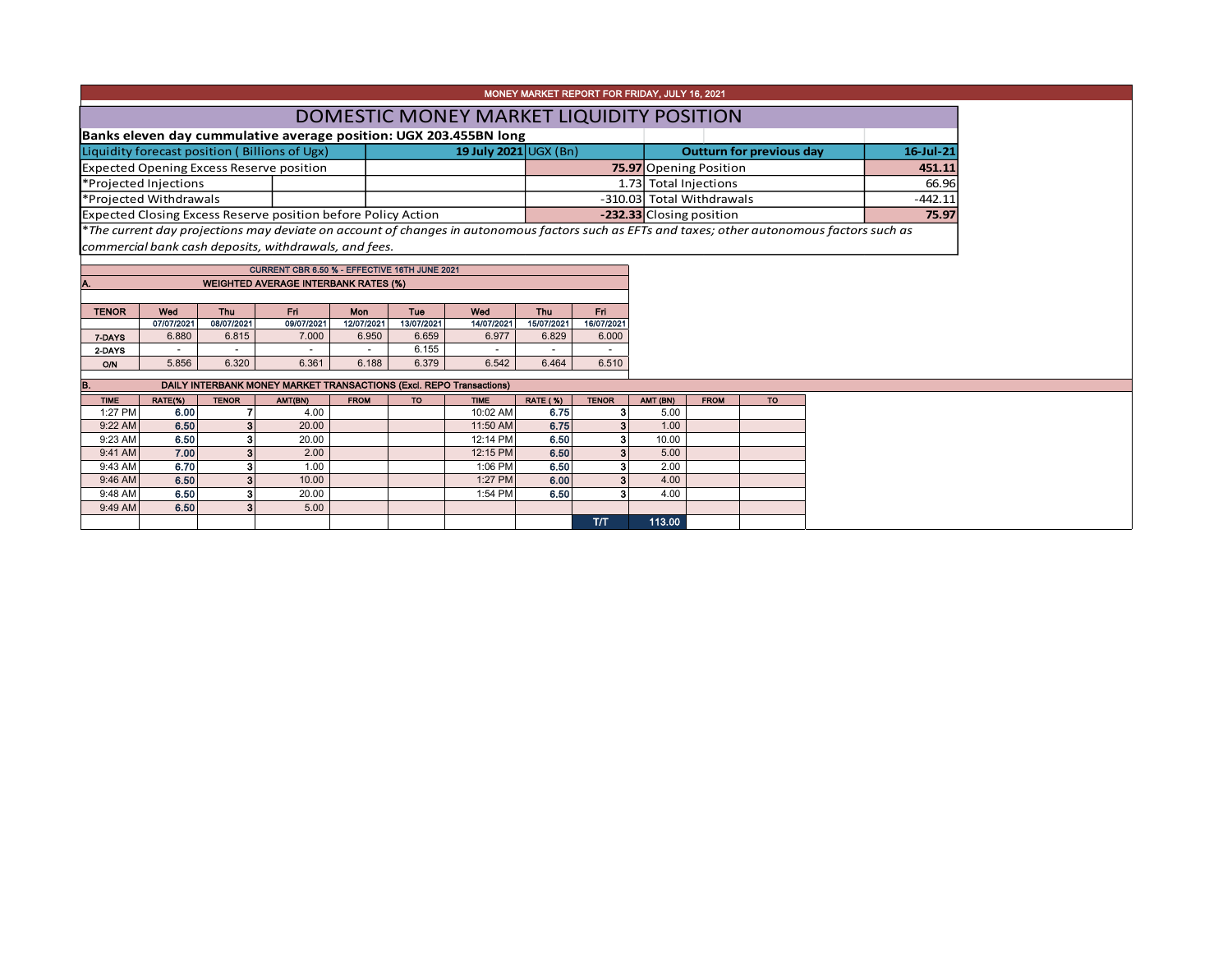| MONEY MARKET REPORT FOR FRIDAY, JULY 16, 2021                          |                                                    |                                                              |                                                                                                        |       |                                   |            |            |            |                                                                                                                                               |           |  |  |  |
|------------------------------------------------------------------------|----------------------------------------------------|--------------------------------------------------------------|--------------------------------------------------------------------------------------------------------|-------|-----------------------------------|------------|------------|------------|-----------------------------------------------------------------------------------------------------------------------------------------------|-----------|--|--|--|
|                                                                        | DOMESTIC MONEY MARKET LIQUIDITY POSITION           |                                                              |                                                                                                        |       |                                   |            |            |            |                                                                                                                                               |           |  |  |  |
|                                                                        |                                                    |                                                              | Banks eleven day cummulative average position: UGX 203.455BN long                                      |       |                                   |            |            |            |                                                                                                                                               |           |  |  |  |
| Liquidity forecast position (Billions of Ugx)<br>19 July 2021 UGX (Bn) |                                                    |                                                              |                                                                                                        |       |                                   |            |            |            | <b>Outturn for previous day</b>                                                                                                               | 16 Jul 21 |  |  |  |
| <b>Expected Opening Excess Reserve position</b>                        |                                                    |                                                              |                                                                                                        |       |                                   |            |            |            | <b>75.97</b> Opening Position                                                                                                                 | 451.11    |  |  |  |
| *Projected Injections                                                  |                                                    |                                                              |                                                                                                        |       |                                   |            |            |            | 1.73 Total Injections<br>66.96                                                                                                                |           |  |  |  |
| *Projected Withdrawals                                                 |                                                    |                                                              |                                                                                                        |       |                                   |            |            |            | -310.03 Total Withdrawals                                                                                                                     | $-442.11$ |  |  |  |
|                                                                        |                                                    |                                                              | <b>Expected Closing Excess Reserve position before Policy Action</b>                                   |       | -232.33 Closing position<br>75.97 |            |            |            |                                                                                                                                               |           |  |  |  |
|                                                                        |                                                    |                                                              | commercial bank cash deposits, withdrawals, and fees.<br>CURRENT CBR 6.50 % - EFFECTIVE 16TH JUNE 2021 |       |                                   |            |            |            | *The current day projections may deviate on account of changes in autonomous factors such as EFTs and taxes; other autonomous factors such as |           |  |  |  |
|                                                                        |                                                    |                                                              | <b>WEIGHTED AVERAGE INTERBANK RATES (%)</b>                                                            |       |                                   |            |            |            |                                                                                                                                               |           |  |  |  |
|                                                                        |                                                    |                                                              |                                                                                                        |       |                                   |            |            |            |                                                                                                                                               |           |  |  |  |
| <b>TENOR</b>                                                           | Wed                                                | Thu<br><b>Fri</b><br>Mon<br>Fri.<br>Tue<br>Wed<br><b>Thu</b> |                                                                                                        |       |                                   |            |            |            |                                                                                                                                               |           |  |  |  |
| 09/07/2021<br>13/07/2021<br>07/07/2021<br>08/07/2021<br>12/07/2021     |                                                    |                                                              |                                                                                                        |       |                                   | 14/07/2021 | 15/07/2021 | 16/07/2021 |                                                                                                                                               |           |  |  |  |
| 7-DAYS                                                                 | 7.000<br>6.977<br>6.880<br>6.815<br>6.950<br>6.659 |                                                              |                                                                                                        |       | 6.829                             | 6.000      |            |            |                                                                                                                                               |           |  |  |  |
| 2-DAYS                                                                 |                                                    | 6.155                                                        |                                                                                                        |       |                                   |            |            |            |                                                                                                                                               |           |  |  |  |
| <b>O/N</b>                                                             | 5.856                                              | 6.320                                                        | 6.361                                                                                                  | 6.188 | 6.379                             | 6.542      | 6.464      | 6.510      |                                                                                                                                               |           |  |  |  |
| B.                                                                     |                                                    |                                                              | DAILY INTERBANK MONEY MARKET TRANSACTIONS (Excl. REPO Transactions)                                    |       |                                   |            |            |            |                                                                                                                                               |           |  |  |  |

| <b>TIME</b> | RATE(%) | <b>TENOR</b> | AMT(BN) | <b>FROM</b> | <b>TO</b> | <b>TIME</b> | <b>RATE (%)</b> | <b>TENOR</b> | AMT (BN) | <b>FROM</b> | <b>TO</b> |
|-------------|---------|--------------|---------|-------------|-----------|-------------|-----------------|--------------|----------|-------------|-----------|
| 1:27 PM     | 6.00    |              | 4.00    |             |           | 10:02 AM    | 6.75            | ø            | 5.00     |             |           |
| 9:22 AM     | 6.50    | 3            | 20.00   |             |           | 11:50 AM    | 6.75            | ×.           | 1.00     |             |           |
| 9:23 AM     | 6.50    |              | 20.00   |             |           | 12:14 PM    | 6.50            | з            | 10.00    |             |           |
| 9:41 AM     | 7.00    | 3            | 2.00    |             |           | 12:15 PM    | 6.50            | 3            | 5.00     |             |           |
| 9:43 AM     | 6.70    | з            | 1.00    |             |           | 1:06 PM     | 6.50            | з            | 2.00     |             |           |
| 9:46 AM     | 6.50    | 3            | 10.00   |             |           | 1:27 PM     | 6.00            | 3            | 4.00     |             |           |
| 9:48 AM     | 6.50    | з            | 20.00   |             |           | 1:54 PM     | 6.50            | A.           | 4.00     |             |           |
| 9:49 AM     | 6.50    | 3            | 5.00    |             |           |             |                 |              |          |             |           |
|             |         |              |         |             |           |             |                 | דת           | 113.00   |             |           |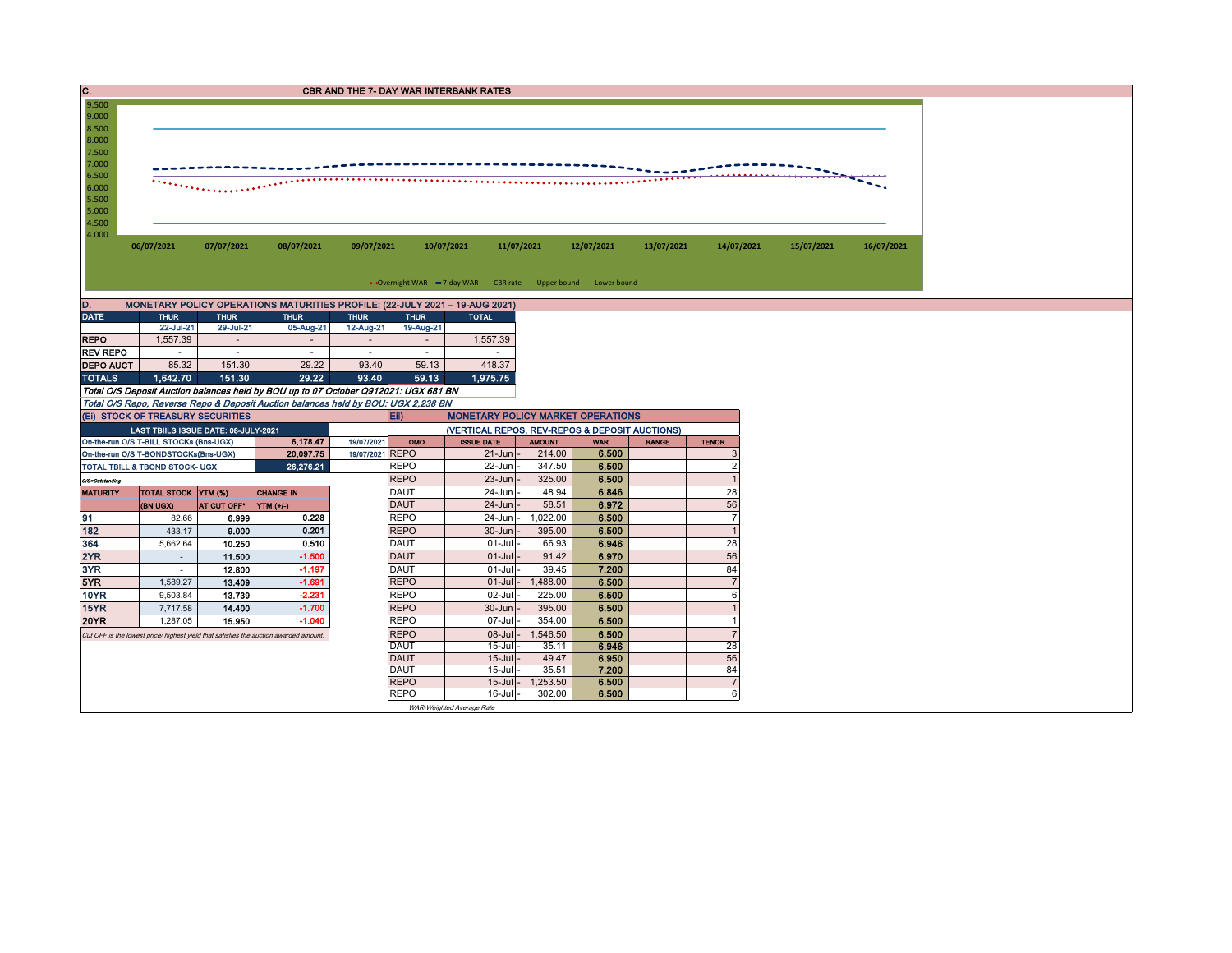| C.               | <b>CBR AND THE 7- DAY WAR INTERBANK RATES</b>                                                                                                          |                         |                                                                                       |                                       |                                       |                                                                     |                 |                |              |                      |  |  |  |  |  |
|------------------|--------------------------------------------------------------------------------------------------------------------------------------------------------|-------------------------|---------------------------------------------------------------------------------------|---------------------------------------|---------------------------------------|---------------------------------------------------------------------|-----------------|----------------|--------------|----------------------|--|--|--|--|--|
| 9.500            | 9.000                                                                                                                                                  |                         |                                                                                       |                                       |                                       |                                                                     |                 |                |              |                      |  |  |  |  |  |
| 8.500            |                                                                                                                                                        |                         |                                                                                       |                                       |                                       |                                                                     |                 |                |              |                      |  |  |  |  |  |
| 8.000            |                                                                                                                                                        |                         |                                                                                       |                                       |                                       |                                                                     |                 |                |              |                      |  |  |  |  |  |
| 7.500            |                                                                                                                                                        |                         |                                                                                       |                                       |                                       |                                                                     |                 |                |              |                      |  |  |  |  |  |
| 7.000            |                                                                                                                                                        |                         |                                                                                       |                                       |                                       |                                                                     |                 |                |              |                      |  |  |  |  |  |
| 6.500<br>6.000   | $\cdots$                                                                                                                                               |                         |                                                                                       |                                       |                                       |                                                                     |                 |                |              |                      |  |  |  |  |  |
| 5.500            |                                                                                                                                                        |                         |                                                                                       |                                       |                                       |                                                                     |                 |                |              |                      |  |  |  |  |  |
| 5.000            |                                                                                                                                                        |                         |                                                                                       |                                       |                                       |                                                                     |                 |                |              |                      |  |  |  |  |  |
| 4.500            |                                                                                                                                                        |                         |                                                                                       |                                       |                                       |                                                                     |                 |                |              |                      |  |  |  |  |  |
| 4.000            | 06/07/2021<br>07/07/2021<br>08/07/2021<br>09/07/2021<br>10/07/2021<br>11/07/2021<br>12/07/2021<br>13/07/2021<br>14/07/2021<br>15/07/2021<br>16/07/2021 |                         |                                                                                       |                                       |                                       |                                                                     |                 |                |              |                      |  |  |  |  |  |
|                  |                                                                                                                                                        |                         |                                                                                       |                                       |                                       |                                                                     |                 |                |              |                      |  |  |  |  |  |
|                  |                                                                                                                                                        |                         |                                                                                       |                                       |                                       |                                                                     |                 |                |              |                      |  |  |  |  |  |
|                  |                                                                                                                                                        |                         |                                                                                       |                                       |                                       | • Overnight WAR -7-day WAR - CBR rate - Upper bound - Lower bound   |                 |                |              |                      |  |  |  |  |  |
| D.               |                                                                                                                                                        |                         | MONETARY POLICY OPERATIONS MATURITIES PROFILE: (22-JULY 2021 - 19-AUG 2021)           |                                       |                                       |                                                                     |                 |                |              |                      |  |  |  |  |  |
| <b>DATE</b>      | <b>THUR</b>                                                                                                                                            | <b>THUR</b>             | <b>THUR</b>                                                                           | <b>THUR</b>                           | <b>THUR</b>                           | <b>TOTAL</b>                                                        |                 |                |              |                      |  |  |  |  |  |
| <b>REPO</b>      | 22-Jul-21<br>1,557.39                                                                                                                                  | 29-Jul-21<br>$\sim$     | 05-Aug-21<br>$\sim$                                                                   | 12-Aug-21<br>$\overline{\phantom{a}}$ | 19-Aug-21<br>$\overline{\phantom{a}}$ | 1,557.39                                                            |                 |                |              |                      |  |  |  |  |  |
| <b>REV REPO</b>  | $\sim$                                                                                                                                                 | $\sim$                  | $\sim$                                                                                | $\sim$                                | $\sim$                                | $\sim$                                                              |                 |                |              |                      |  |  |  |  |  |
| <b>DEPO AUCT</b> | 85.32                                                                                                                                                  | 151.30                  | 29.22                                                                                 | 93.40                                 | 59.13                                 | 418.37                                                              |                 |                |              |                      |  |  |  |  |  |
| <b>TOTALS</b>    | 1,642.70                                                                                                                                               | 151.30                  | 29.22                                                                                 | 93.40                                 | 59.13                                 | 1,975.75                                                            |                 |                |              |                      |  |  |  |  |  |
|                  |                                                                                                                                                        |                         | Total O/S Deposit Auction balances held by BOU up to 07 October Q912021: UGX 681 BN   |                                       |                                       |                                                                     |                 |                |              |                      |  |  |  |  |  |
|                  |                                                                                                                                                        |                         | Total O/S Repo, Reverse Repo & Deposit Auction balances held by BOU: UGX 2,238 BN     |                                       |                                       |                                                                     |                 |                |              |                      |  |  |  |  |  |
|                  | (EI) STOCK OF TREASURY SECURITIES                                                                                                                      |                         |                                                                                       |                                       | Eii)                                  | <b>MONETARY POLICY MARKET OPERATIONS</b>                            |                 |                |              |                      |  |  |  |  |  |
|                  | LAST TBIILS ISSUE DATE: 08-JULY-2021<br>On-the-run O/S T-BILL STOCKs (Bns-UGX)                                                                         |                         | 6,178.47                                                                              | 19/07/2021                            | OMO                                   | (VERTICAL REPOS, REV-REPOS & DEPOSIT AUCTIONS)<br><b>ISSUE DATE</b> | <b>AMOUNT</b>   | <b>WAR</b>     | <b>RANGE</b> | <b>TENOR</b>         |  |  |  |  |  |
|                  | On-the-run O/S T-BONDSTOCKs(Bns-UGX)                                                                                                                   |                         | 20,097.75                                                                             | 19/07/2021 REPO                       |                                       | $21 - Jun$                                                          | 214.00          | 6.500          |              | 3                    |  |  |  |  |  |
|                  | TOTAL TBILL & TBOND STOCK- UGX                                                                                                                         |                         | 26.276.21                                                                             |                                       | <b>REPO</b>                           | 22-Jun                                                              | 347.50          | 6.500          |              | $\overline{2}$       |  |  |  |  |  |
| O/S=Outstanding  |                                                                                                                                                        |                         |                                                                                       |                                       | <b>REPO</b>                           | $23 - Jun$                                                          | 325.00          | 6.500          |              | $\overline{1}$       |  |  |  |  |  |
| <b>MATURITY</b>  | <b>TOTAL STOCK YTM (%)</b>                                                                                                                             |                         | <b>CHANGE IN</b>                                                                      |                                       | <b>DAUT</b>                           | 24-Jun                                                              | 48.94           | 6.846          |              | 28                   |  |  |  |  |  |
|                  | (BN UGX)                                                                                                                                               | AT CUT OFF <sup>®</sup> | YTM (+/-)                                                                             |                                       | <b>DAUT</b>                           | 24-Jun                                                              | 58.51           | 6.972          |              | 56                   |  |  |  |  |  |
| 91               | 82.66                                                                                                                                                  | 6.999                   | 0.228                                                                                 |                                       | <b>REPO</b>                           | 24-Jun                                                              | 1,022.00        | 6.500          |              | $\overline{7}$       |  |  |  |  |  |
| 182<br>364       | 433.17<br>5,662.64                                                                                                                                     | 9.000<br>10.250         | 0.201<br>0.510                                                                        |                                       | <b>REPO</b><br><b>DAUT</b>            | 30-Jun<br>$01 -$ Jul                                                | 395.00<br>66.93 | 6,500<br>6.946 |              | $\overline{1}$<br>28 |  |  |  |  |  |
| 2YR              | $\sim$                                                                                                                                                 | 11.500                  | $-1.500$                                                                              |                                       | <b>DAUT</b>                           | $01-Jul$                                                            | 91.42           | 6.970          |              | 56                   |  |  |  |  |  |
| 3YR              | $\sim$                                                                                                                                                 | 12.800                  | $-1.197$                                                                              |                                       | <b>DAUT</b>                           | $01-Jul$                                                            | 39.45           | 7.200          |              | 84                   |  |  |  |  |  |
| 5YR              | 1,589.27                                                                                                                                               | 13.409                  | $-1.691$                                                                              |                                       | <b>REPO</b>                           | $01-Jul$                                                            | 1,488.00        | 6.500          |              | $\overline{7}$       |  |  |  |  |  |
| <b>10YR</b>      | 9,503.84                                                                                                                                               | 13.739                  | $-2.231$                                                                              |                                       | <b>REPO</b>                           |                                                                     | 225.00          | 6.500          |              | 6                    |  |  |  |  |  |
| 15YR             | 7,717.58                                                                                                                                               | 14.400                  | $-1.700$                                                                              | <b>REPO</b>                           |                                       | 30-Jun                                                              | 395.00          | 6.500          |              | $\overline{1}$       |  |  |  |  |  |
| 20YR             | 1,287.05                                                                                                                                               | 15.950                  | $-1.040$                                                                              |                                       | <b>REPO</b>                           | 07-Jul                                                              | 354.00          | 6.500          |              | $\mathbf{1}$         |  |  |  |  |  |
|                  |                                                                                                                                                        |                         | Cut OFF is the lowest price/ highest yield that satisfies the auction awarded amount. |                                       | <b>REPO</b>                           | $08 -$ Jul                                                          | 1,546.50        | 6.500          |              | $\overline{7}$       |  |  |  |  |  |
|                  |                                                                                                                                                        |                         |                                                                                       |                                       | <b>DAUT</b><br><b>DAUT</b>            | $15 -$ Jul<br>$15 -$ Jul                                            | 35.11<br>49.47  | 6.946<br>6.950 |              | 28<br>56             |  |  |  |  |  |
|                  |                                                                                                                                                        |                         |                                                                                       |                                       | <b>DAUT</b>                           | $15 -$ Jul                                                          | 35.51           | 7.200          |              | 84                   |  |  |  |  |  |
|                  |                                                                                                                                                        |                         |                                                                                       |                                       | <b>REPO</b>                           | $15$ -Jul                                                           | 1,253.50        | 6.500          |              | $\overline{7}$       |  |  |  |  |  |
|                  |                                                                                                                                                        |                         |                                                                                       |                                       | <b>REPO</b>                           | $16 -$ Jul                                                          | 302.00          | 6.500          |              | 6                    |  |  |  |  |  |
|                  |                                                                                                                                                        |                         |                                                                                       |                                       |                                       | WAR-Weighted Average Rate                                           |                 |                |              |                      |  |  |  |  |  |